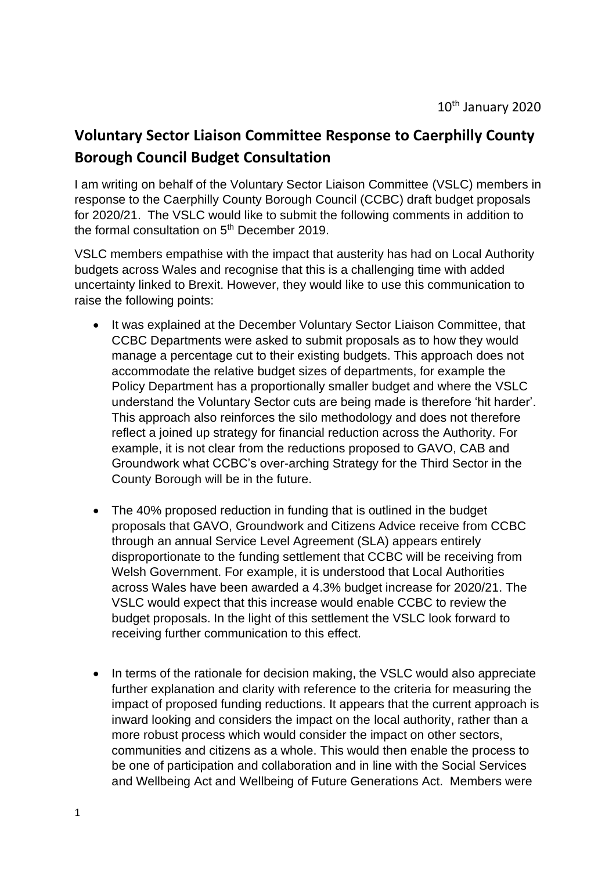## **Voluntary Sector Liaison Committee Response to Caerphilly County Borough Council Budget Consultation**

I am writing on behalf of the Voluntary Sector Liaison Committee (VSLC) members in response to the Caerphilly County Borough Council (CCBC) draft budget proposals for 2020/21. The VSLC would like to submit the following comments in addition to the formal consultation on  $5<sup>th</sup>$  December 2019.

VSLC members empathise with the impact that austerity has had on Local Authority budgets across Wales and recognise that this is a challenging time with added uncertainty linked to Brexit. However, they would like to use this communication to raise the following points:

- It was explained at the December Voluntary Sector Liaison Committee, that CCBC Departments were asked to submit proposals as to how they would manage a percentage cut to their existing budgets. This approach does not accommodate the relative budget sizes of departments, for example the Policy Department has a proportionally smaller budget and where the VSLC understand the Voluntary Sector cuts are being made is therefore 'hit harder'. This approach also reinforces the silo methodology and does not therefore reflect a joined up strategy for financial reduction across the Authority. For example, it is not clear from the reductions proposed to GAVO, CAB and Groundwork what CCBC's over-arching Strategy for the Third Sector in the County Borough will be in the future.
- The 40% proposed reduction in funding that is outlined in the budget proposals that GAVO, Groundwork and Citizens Advice receive from CCBC through an annual Service Level Agreement (SLA) appears entirely disproportionate to the funding settlement that CCBC will be receiving from Welsh Government. For example, it is understood that Local Authorities across Wales have been awarded a 4.3% budget increase for 2020/21. The VSLC would expect that this increase would enable CCBC to review the budget proposals. In the light of this settlement the VSLC look forward to receiving further communication to this effect.
- In terms of the rationale for decision making, the VSLC would also appreciate further explanation and clarity with reference to the criteria for measuring the impact of proposed funding reductions. It appears that the current approach is inward looking and considers the impact on the local authority, rather than a more robust process which would consider the impact on other sectors, communities and citizens as a whole. This would then enable the process to be one of participation and collaboration and in line with the Social Services and Wellbeing Act and Wellbeing of Future Generations Act. Members were